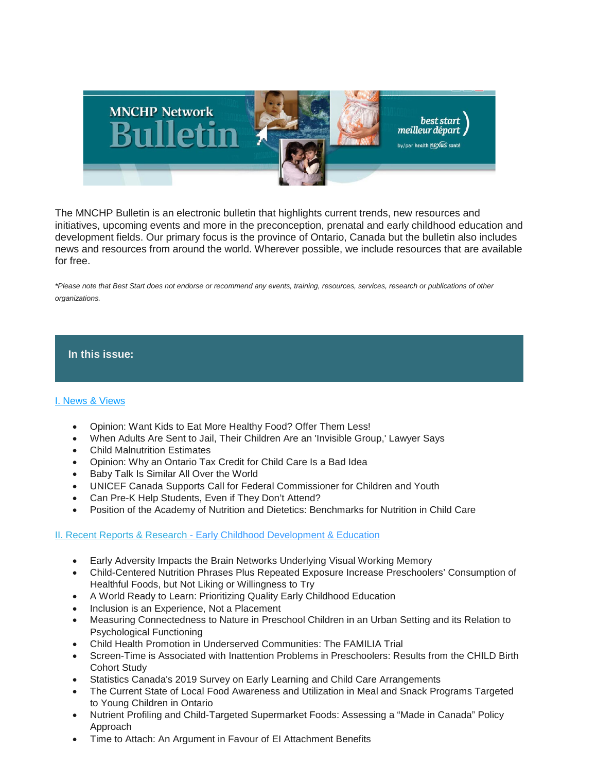

The MNCHP Bulletin is an electronic bulletin that highlights current trends, new resources and initiatives, upcoming events and more in the preconception, prenatal and early childhood education and development fields. Our primary focus is the province of Ontario, Canada but the bulletin also includes news and resources from around the world. Wherever possible, we include resources that are available for free.

*\*Please note that Best Start does not endorse or recommend any events, training, resources, services, research or publications of other organizations.*

## **In this issue:**

## [I. News & Views](https://us14.admin.mailchimp.com/templates/preview-template?id=177929#I.%20News%20&%20Views)

- Opinion: Want Kids to Eat More Healthy Food? Offer Them Less!
- When Adults Are Sent to Jail, Their Children Are an 'Invisible Group,' Lawyer Says
- Child Malnutrition Estimates
- Opinion: Why an Ontario Tax Credit for Child Care Is a Bad Idea
- Baby Talk Is Similar All Over the World
- UNICEF Canada Supports Call for Federal Commissioner for Children and Youth
- Can Pre-K Help Students, Even if They Don't Attend?
- Position of the Academy of Nutrition and Dietetics: Benchmarks for Nutrition in Child Care

## [II. Recent Reports & Research](https://us14.admin.mailchimp.com/templates/preview-template?id=177929#III.%20Recent%20Reports%20&%20Research%20-%20Early%20Childhood%20Development%20and%20Education) - [Early Childhood Development & Education](https://us14.admin.mailchimp.com/templates/preview-template?id=177929#III.%20Recent%20Reports%20&%20Research%20-%20Early%20Childhood%20Development%20and%20Education)

- Early Adversity Impacts the Brain Networks Underlying Visual Working Memory
- Child-Centered Nutrition Phrases Plus Repeated Exposure Increase Preschoolers' Consumption of Healthful Foods, but Not Liking or Willingness to Try
- A World Ready to Learn: Prioritizing Quality Early Childhood Education
- Inclusion is an Experience, Not a Placement
- Measuring Connectedness to Nature in Preschool Children in an Urban Setting and its Relation to Psychological Functioning
- Child Health Promotion in Underserved Communities: The FAMILIA Trial
- Screen-Time is Associated with Inattention Problems in Preschoolers: Results from the CHILD Birth Cohort Study
- Statistics Canada's 2019 Survey on Early Learning and Child Care Arrangements
- The Current State of Local Food Awareness and Utilization in Meal and Snack Programs Targeted to Young Children in Ontario
- Nutrient Profiling and Child-Targeted Supermarket Foods: Assessing a "Made in Canada" Policy Approach
- Time to Attach: An Argument in Favour of EI Attachment Benefits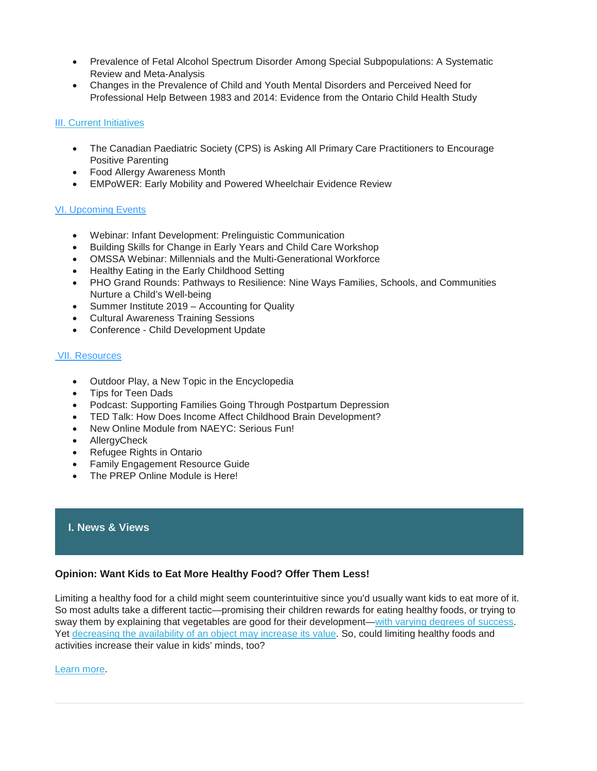- Prevalence of Fetal Alcohol Spectrum Disorder Among Special Subpopulations: A Systematic Review and Meta‐Analysis
- Changes in the Prevalence of Child and Youth Mental Disorders and Perceived Need for Professional Help Between 1983 and 2014: Evidence from the Ontario Child Health Study

## II[I. Current Initiatives](https://us14.admin.mailchimp.com/templates/preview-template?id=177929#V.%20Current%20Initiatives)

- The Canadian Paediatric Society (CPS) is Asking All Primary Care Practitioners to Encourage Positive Parenting
- Food Allergy Awareness Month
- EMPoWER: Early Mobility and Powered Wheelchair Evidence Review

# [VI. Upcoming Events](https://us14.admin.mailchimp.com/templates/preview-template?id=177929#VI.%20Upcoming%20Events)

- Webinar: Infant Development: Prelinguistic Communication
- Building Skills for Change in Early Years and Child Care Workshop
- OMSSA Webinar: Millennials and the Multi-Generational Workforce
- Healthy Eating in the Early Childhood Setting
- PHO Grand Rounds: Pathways to Resilience: Nine Ways Families, Schools, and Communities Nurture a Child's Well-being
- Summer Institute 2019 Accounting for Quality
- Cultural Awareness Training Sessions
- Conference Child Development Update

# [VII. Resources](https://us14.admin.mailchimp.com/templates/preview-template?id=177929#VII.%20Resources)

- Outdoor Play, a New Topic in the Encyclopedia
- Tips for Teen Dads
- Podcast: Supporting Families Going Through Postpartum Depression
- TED Talk: How Does Income Affect Childhood Brain Development?
- New Online Module from NAEYC: Serious Fun!
- AllergyCheck
- Refugee Rights in Ontario
- Family Engagement Resource Guide
- The PREP Online Module is Here!

# **I. News & Views**

# **Opinion: Want Kids to Eat More Healthy Food? Offer Them Less!**

Limiting a healthy food for a child might seem counterintuitive since you'd usually want kids to eat more of it. So most adults take a different tactic—promising their children rewards for eating healthy foods, or trying to sway them by explaining that vegetables are good for their development[—with varying degrees of success.](https://academic.oup.com/jcr/article-abstract/41/3/642/2907531) Yet decreasing the [availability of an object may increase its value.](https://www.sciencedirect.com/science/article/pii/B9781483230719500167) So, could limiting healthy foods and activities increase their value in kids' minds, too?

## [Learn more.](https://insight.kellogg.northwestern.edu/article/want-your-kids-to-eat-more-healthy-food-offer-them-less)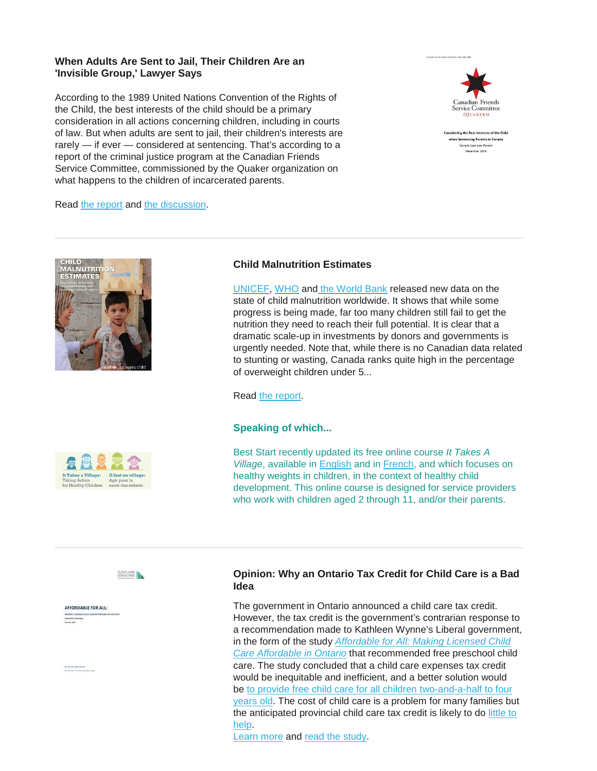## **When Adults Are Sent to Jail, Their Children Are an 'Invisible Group,' Lawyer Says**

According to the 1989 United Nations Convention of the Rights of the Child, the best interests of the child should be a primary consideration in all actions concerning children, including in courts of law. But when adults are sent to jail, their children's interests are rarely - if ever - considered at sentencing. That's according to a report of the criminal justice program at the Canadian Friends Service Committee, commissioned by the Quaker organization on what happens to the children of incarcerated parents.



idering the Best Interests of the Child en Sentencing Parents in Canada Sample Case Law Review cember 2018

Read [the report](http://quakerservice.ca/wp-content/uploads/2018/12/Considering-the-Best-Interests-of-the-Child-when-Sentencing-Parents-in-Canada.pdf) and [the discussion.](https://www.cbc.ca/radio/thesundayedition/when-adults-are-sent-to-jail-their-children-are-an-invisible-group-lawyer-says-1.5086017)





[UNICEF,](https://www.unicef.org/) [WHO](https://www.who.int/) and [the World Bank](https://www.worldbank.org/) released new data on the state of child malnutrition worldwide. It shows that while some progress is being made, far too many children still fail to get the nutrition they need to reach their full potential. It is clear that a dramatic scale-up in investments by donors and governments is urgently needed. Note that, while there is no Canadian data related to stunting or wasting, Canada ranks quite high in the percentage of overweight children under 5...

Read [the report.](https://gallery.mailchimp.com/fb1d9aabd6c823bef179830e9/files/0ec4a402-b514-4575-bd75-1b074d10199e/UNICEF_version_JME_2019_brochure_sm.pdf?eType=EmailBlastContent&eId=bc842f25-e2eb-4154-be79-7360c3f10e04)

## **Speaking of which...**

Best Start recently updated its free online course *It Takes A Village*, available in [English](https://resources.beststart.org/product/k54-e-it-takes-a-village-taking-action-online-course/) and in [French,](https://resources.beststart.org/product/k54f-il-faut-un-village-agir-cours-en-ligne-en/) and which focuses on healthy weights in children, in the context of healthy child development. This online course is designed for service providers who work with children aged 2 through 11, and/or their parents.





AFFORDABLE FOR ALL:

# **Opinion: Why an Ontario Tax Credit for Child Care is a Bad Idea**

The government in Ontario announced a child care tax credit. However, the tax credit is the government's contrarian response to a recommendation made to Kathleen Wynne's Liberal government, in the form of the study *[Affordable for All: Making Licensed Child](http://www.edu.gov.on.ca/childcare/affordable-for-all-en.pdf)  [Care Affordable in Ontario](http://www.edu.gov.on.ca/childcare/affordable-for-all-en.pdf)* that recommended free preschool child care. The study concluded that a child care expenses tax credit would be inequitable and inefficient, and a better solution would be to provide free child care for all children two-and-a-half to four [years old.](https://www.cbc.ca/news/canada/ottawa/kathleen-wynne-free-daycare-pledge-1.4596252) The cost of child care is a problem for many families but the anticipated provincial child care tax credit is likely to do [little to](https://www.cbc.ca/listen/live-radio/1-82-here-and-now-toronto/clip/15686271-economist-weighs-in-on-progressive-conservative-childcare-promises)  [help.](https://www.cbc.ca/listen/live-radio/1-82-here-and-now-toronto/clip/15686271-economist-weighs-in-on-progressive-conservative-childcare-promises)

[Learn more](https://theconversation.com/why-an-ontario-tax-credit-for-child-care-is-a-bad-idea-115207) and [read the study.](http://www.edu.gov.on.ca/childcare/affordable-for-all-en.pdf)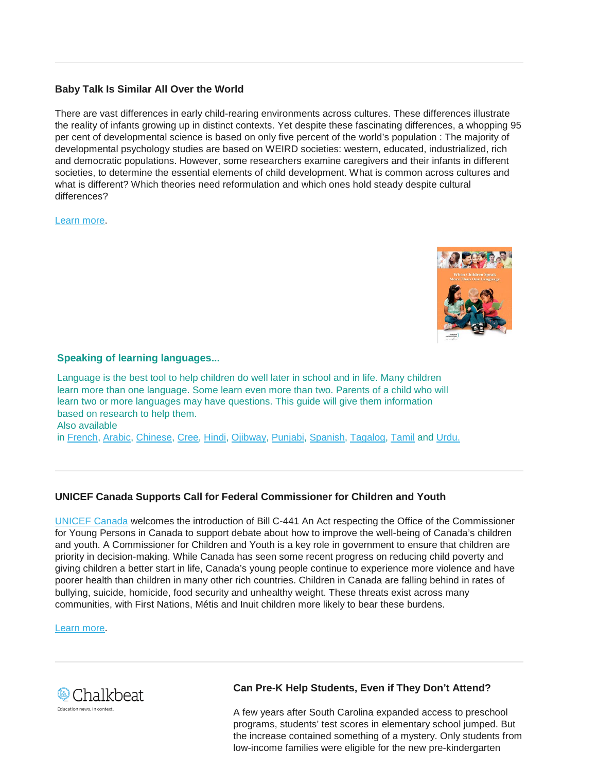# **Baby Talk Is Similar All Over the World**

There are vast differences in early child-rearing environments across cultures. These differences illustrate the reality of infants growing up in distinct contexts. Yet despite these fascinating differences, a whopping 95 per cent of developmental science is based on only five percent of the world's population : The majority of developmental psychology studies are based on WEIRD societies: western, educated, industrialized, rich and democratic populations. However, some researchers examine caregivers and their infants in different societies, to determine the essential elements of child development. What is common across cultures and what is different? Which theories need reformulation and which ones hold steady despite cultural differences?

[Learn more.](https://theconversation.com/baby-talk-is-similar-all-over-the-world-113153)



# **Speaking of learning languages...**

Language is the best tool to help children do well later in school and in life. Many children learn more than one language. Some learn even more than two. Parents of a child who will learn two or more languages may have questions. This guide will give them information based on research to help them. Also available in [French,](https://resources.beststart.org/product/k51f-quand-les-enfants-apprennent-livret-en/) [Arabic,](https://resources.beststart.org/wp-content/uploads/2019/01/K51-AR.pdf) [Chinese,](https://resources.beststart.org/wp-content/uploads/2019/01/K51-CH.pdf) [Cree,](https://resources.beststart.org/wp-content/uploads/2019/01/K51-CR.pdf) [Hindi,](https://resources.beststart.org/wp-content/uploads/2019/01/K51-HI.pdf) [Ojibway,](https://resources.beststart.org/wp-content/uploads/2019/01/K51-OJ.pdf) [Punjabi,](https://resources.beststart.org/wp-content/uploads/2019/01/K51-PU.pdf) [Spanish,](https://resources.beststart.org/wp-content/uploads/2019/01/K51-SP.pdf) [Tagalog,](https://resources.beststart.org/wp-content/uploads/2019/01/K51-TG.pdf) [Tamil](https://resources.beststart.org/wp-content/uploads/2019/01/K51-TM.pdf) and [Urdu.](https://resources.beststart.org/wp-content/uploads/2019/01/K51-UR.pdf)

# **UNICEF Canada Supports Call for Federal Commissioner for Children and Youth**

[UNICEF Canada](https://oneyouth.unicef.ca/en) welcomes the introduction of Bill C-441 An Act respecting the Office of the Commissioner for Young Persons in Canada to support debate about how to improve the well-being of Canada's children and youth. A Commissioner for Children and Youth is a key role in government to ensure that children are priority in decision-making. While Canada has seen some recent progress on reducing child poverty and giving children a better start in life, Canada's young people continue to experience more violence and have poorer health than children in many other rich countries. Children in Canada are falling behind in rates of bullying, suicide, homicide, food security and unhealthy weight. These threats exist across many communities, with First Nations, Métis and Inuit children more likely to bear these burdens.

[Learn more.](http://www.ilrtoday.ca/unicef-canada-supports-call-for-federal-commissioner-for-children-and-youth/)



# **Can Pre-K Help Students, Even if They Don't Attend?**

A few years after South Carolina expanded access to preschool programs, students' test scores in elementary school jumped. But the increase contained something of a mystery. Only students from low-income families were eligible for the new pre-kindergarten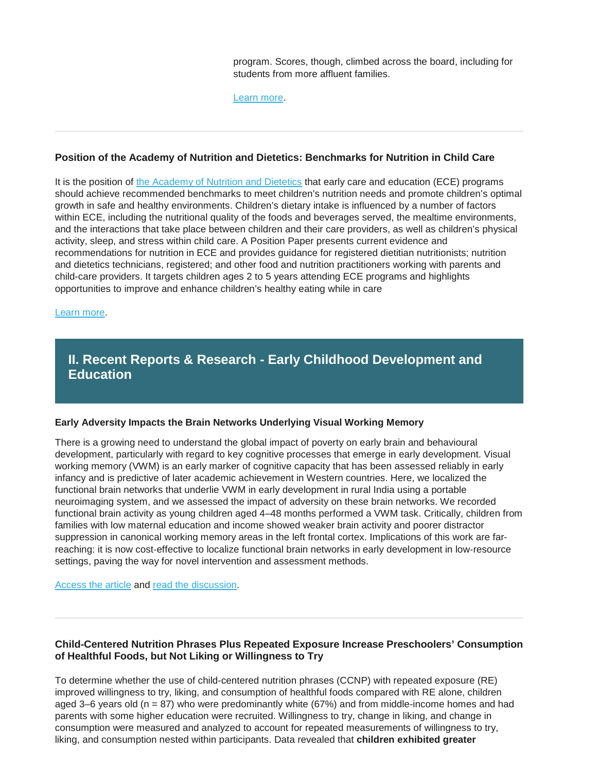program. Scores, though, climbed across the board, including for students from more affluent families.

[Learn more.](https://www.chalkbeat.org/posts/us/2019/04/17/preschool-research-peers-benefits-south-carolina/?mkt_tok=eyJpIjoiT1RjMFpqUTNZMlUxWXpRNSIsInQiOiJkbFVxbmRLbEFHVlwvZm5vazN2cmJvZjVRc3U3ekJVQk14Tmd5K3ZhMk4zUWl6NldXS2NoOW1QOUxJbExsTmhEc2U3emROXC9VYkh3cG0rcmxJamxTRm1kUUZ4UGxsVGZGYjFKVEVoeUJSRnJoZ2pWNGdsTjkwUlpBN1h2SU4yQWhlIn0%3D)

## **Position of the Academy of Nutrition and Dietetics: Benchmarks for Nutrition in Child Care**

It is the position of [the Academy of Nutrition and Dietetics](https://www.eatrightpro.org/) that early care and education (ECE) programs should achieve recommended benchmarks to meet children's nutrition needs and promote children's optimal growth in safe and healthy environments. Children's dietary intake is influenced by a number of factors within ECE, including the nutritional quality of the foods and beverages served, the mealtime environments, and the interactions that take place between children and their care providers, as well as children's physical activity, sleep, and stress within child care. A Position Paper presents current evidence and recommendations for nutrition in ECE and provides guidance for registered dietitian nutritionists; nutrition and dietetics technicians, registered; and other food and nutrition practitioners working with parents and child-care providers. It targets children ages 2 to 5 years attending ECE programs and highlights opportunities to improve and enhance children's healthy eating while in care

## [Learn more.](https://jandonline.org/article/S2212-2672(18)30669-5/pdf)

# **II. Recent Reports & Research - Early Childhood Development and Education**

## **Early Adversity Impacts the Brain Networks Underlying Visual Working Memory**

There is a growing need to understand the global impact of poverty on early brain and behavioural development, particularly with regard to key cognitive processes that emerge in early development. Visual working memory (VWM) is an early marker of cognitive capacity that has been assessed reliably in early infancy and is predictive of later academic achievement in Western countries. Here, we localized the functional brain networks that underlie VWM in early development in rural India using a portable neuroimaging system, and we assessed the impact of adversity on these brain networks. We recorded functional brain activity as young children aged 4–48 months performed a VWM task. Critically, children from families with low maternal education and income showed weaker brain activity and poorer distractor suppression in canonical working memory areas in the left frontal cortex. Implications of this work are farreaching: it is now cost‐effective to localize functional brain networks in early development in low‐resource settings, paving the way for novel intervention and assessment methods.

[Access the article](https://onlinelibrary.wiley.com/doi/abs/10.1111/desc.12822) and [read the discussion.](https://www.sciencedaily.com/releases/2019/04/190402113032.htm)

## **Child-Centered Nutrition Phrases Plus Repeated Exposure Increase Preschoolers' Consumption of Healthful Foods, but Not Liking or Willingness to Try**

To determine whether the use of child-centered nutrition phrases (CCNP) with repeated exposure (RE) improved willingness to try, liking, and consumption of healthful foods compared with RE alone, children aged 3–6 years old ( $n = 87$ ) who were predominantly white (67%) and from middle-income homes and had parents with some higher education were recruited. Willingness to try, change in liking, and change in consumption were measured and analyzed to account for repeated measurements of willingness to try, liking, and consumption nested within participants. Data revealed that **children exhibited greater**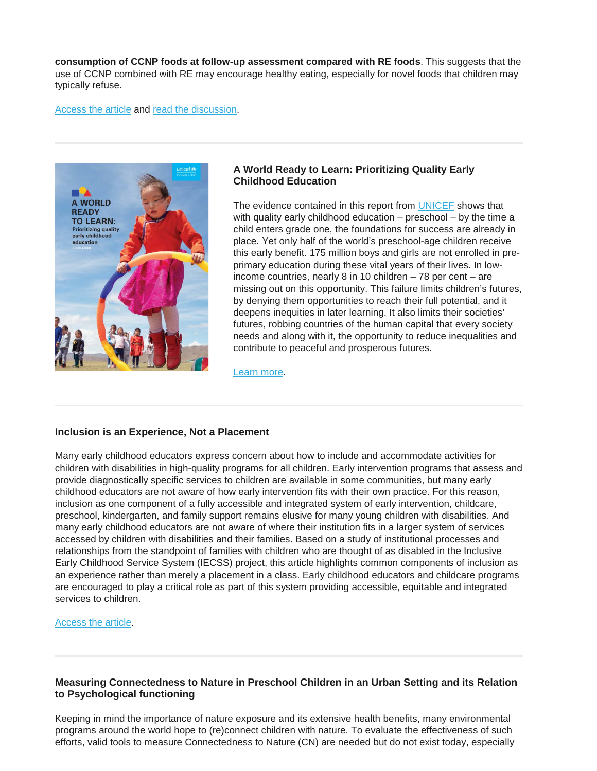**consumption of CCNP foods at follow-up assessment compared with RE foods**. This suggests that the use of CCNP combined with RE may encourage healthy eating, especially for novel foods that children may typically refuse.

#### [Access the article](https://www.jneb.org/article/S1499-4046(19)30126-5/fulltext) and [read the discussion.](https://www.reuters.com/article/us-health-kids-eating/repetition-helps-preschoolers-learn-to-eat-healthy-foods-idUSKCN1SE2NQ)



## **A World Ready to Learn: Prioritizing Quality Early Childhood Education**

The evidence contained in this report from [UNICEF](https://www.unicef.org/about-unicef) shows that with quality early childhood education – preschool – by the time a child enters grade one, the foundations for success are already in place. Yet only half of the world's preschool-age children receive this early benefit. 175 million boys and girls are not enrolled in preprimary education during these vital years of their lives. In lowincome countries, nearly 8 in 10 children – 78 per cent – are missing out on this opportunity. This failure limits children's futures, by denying them opportunities to reach their full potential, and it deepens inequities in later learning. It also limits their societies' futures, robbing countries of the human capital that every society needs and along with it, the opportunity to reduce inequalities and contribute to peaceful and prosperous futures.

[Learn more.](https://www.unicef.org/media/51746/file)

## **Inclusion is an Experience, Not a Placement**

Many early childhood educators express concern about how to include and accommodate activities for children with disabilities in high-quality programs for all children. Early intervention programs that assess and provide diagnostically specific services to children are available in some communities, but many early childhood educators are not aware of how early intervention fits with their own practice. For this reason, inclusion as one component of a fully accessible and integrated system of early intervention, childcare, preschool, kindergarten, and family support remains elusive for many young children with disabilities. And many early childhood educators are not aware of where their institution fits in a larger system of services accessed by children with disabilities and their families. Based on a study of institutional processes and relationships from the standpoint of families with children who are thought of as disabled in the Inclusive Early Childhood Service System (IECSS) project, this article highlights common components of inclusion as an experience rather than merely a placement in a class. Early childhood educators and childcare programs are encouraged to play a critical role as part of this system providing accessible, equitable and integrated services to children.

[Access the article.](https://d3n8a8pro7vhmx.cloudfront.net/aeceo/pages/2494/attachments/original/1556561140/eceLINKSpring-Summer2019_Peer_reviewed_article.pdf?1556561140)

## **Measuring Connectedness to Nature in Preschool Children in an Urban Setting and its Relation to Psychological functioning**

Keeping in mind the importance of nature exposure and its extensive health benefits, many environmental programs around the world hope to (re)connect children with nature. To evaluate the effectiveness of such efforts, valid tools to measure Connectedness to Nature (CN) are needed but do not exist today, especially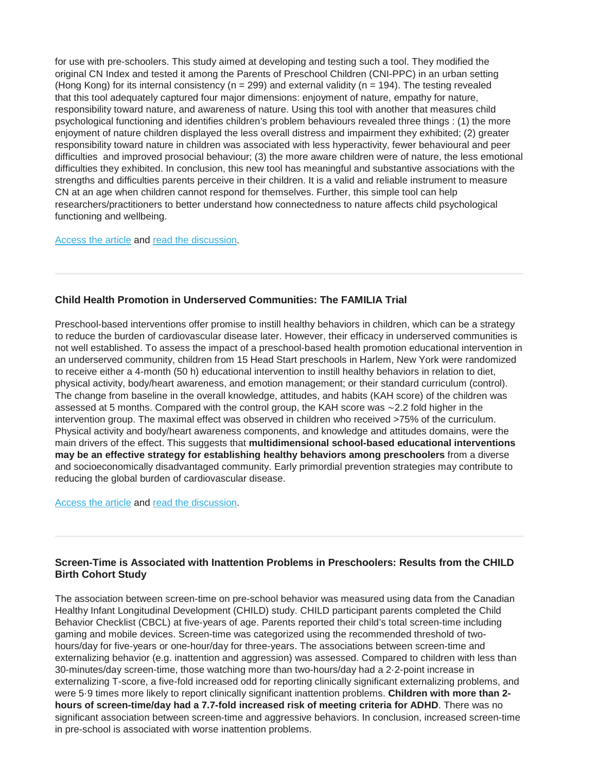for use with pre-schoolers. This study aimed at developing and testing such a tool. They modified the original CN Index and tested it among the Parents of Preschool Children (CNI-PPC) in an urban setting (Hong Kong) for its internal consistency ( $n = 299$ ) and external validity ( $n = 194$ ). The testing revealed that this tool adequately captured four major dimensions: enjoyment of nature, empathy for nature, responsibility toward nature, and awareness of nature. Using this tool with another that measures child psychological functioning and identifies children's problem behaviours revealed three things : (1) the more enjoyment of nature children displayed the less overall distress and impairment they exhibited; (2) greater responsibility toward nature in children was associated with less hyperactivity, fewer behavioural and peer difficulties and improved prosocial behaviour; (3) the more aware children were of nature, the less emotional difficulties they exhibited. In conclusion, this new tool has meaningful and substantive associations with the strengths and difficulties parents perceive in their children. It is a valid and reliable instrument to measure CN at an age when children cannot respond for themselves. Further, this simple tool can help researchers/practitioners to better understand how connectedness to nature affects child psychological functioning and wellbeing.

## [Access the article](https://journals.plos.org/plosone/article?id=10.1371/journal.pone.0207057) and [read the discussion.](https://www.wcnc.com/article/news/study-kids-fare-better-when-connected-to-nature/275-0cee20f7-ab02-4a79-9a43-bf973b806123)

## **Child Health Promotion in Underserved Communities: The FAMILIA Trial**

Preschool-based interventions offer promise to instill healthy behaviors in children, which can be a strategy to reduce the burden of cardiovascular disease later. However, their efficacy in underserved communities is not well established. To assess the impact of a preschool-based health promotion educational intervention in an underserved community, children from 15 Head Start preschools in Harlem, New York were randomized to receive either a 4-month (50 h) educational intervention to instill healthy behaviors in relation to diet, physical activity, body/heart awareness, and emotion management; or their standard curriculum (control). The change from baseline in the overall knowledge, attitudes, and habits (KAH score) of the children was assessed at 5 months. Compared with the control group, the KAH score was ∼2.2 fold higher in the intervention group. The maximal effect was observed in children who received >75% of the curriculum. Physical activity and body/heart awareness components, and knowledge and attitudes domains, were the main drivers of the effect. This suggests that **multidimensional school-based educational interventions may be an effective strategy for establishing healthy behaviors among preschoolers** from a diverse and socioeconomically disadvantaged community. Early primordial prevention strategies may contribute to reducing the global burden of cardiovascular disease.

[Access the article](https://www.sciencedirect.com/science/article/pii/S0735109719336903?via%3Dihub) and [read the discussion.](https://www.acc.org/about-acc/press-releases/2015/09/28/14/23/early-intervention-improves-preschoolers-heart-healthy-habits)

## **Screen-Time is Associated with Inattention Problems in Preschoolers: Results from the CHILD Birth Cohort Study**

The association between screen-time on pre-school behavior was measured using data from the Canadian Healthy Infant Longitudinal Development (CHILD) study. CHILD participant parents completed the Child Behavior Checklist (CBCL) at five-years of age. Parents reported their child's total screen-time including gaming and mobile devices. Screen-time was categorized using the recommended threshold of twohours/day for five-years or one-hour/day for three-years. The associations between screen-time and externalizing behavior (e.g. inattention and aggression) was assessed. Compared to children with less than 30-minutes/day screen-time, those watching more than two-hours/day had a 2·2-point increase in externalizing T-score, a five-fold increased odd for reporting clinically significant externalizing problems, and were 5·9 times more likely to report clinically significant inattention problems. **Children with more than 2 hours of screen-time/day had a 7.7-fold increased risk of meeting criteria for ADHD**. There was no significant association between screen-time and aggressive behaviors. In conclusion, increased screen-time in pre-school is associated with worse inattention problems.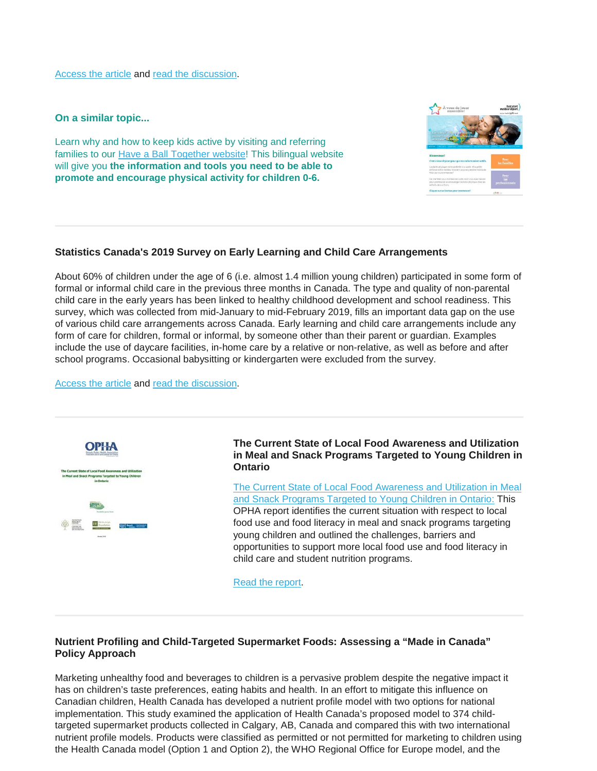[Access the article](https://journals.plos.org/plosone/article?id=10.1371/journal.pone.0213995) and [read the discussion.](https://childstudy.ca/media/press-releases/screen-time-behavioural-problems-in-preschoolers/)

**On a similar topic...**

Learn why and how to keep kids active by visiting and referring families to our [Have a Ball Together website!](https://resources.beststart.org/product/k83b-have-a-ball-together-website/) This bilingual website will give you **the information and tools you need to be able to promote and encourage physical activity for children 0-6.**



# **Statistics Canada's 2019 Survey on Early Learning and Child Care Arrangements**

About 60% of children under the age of 6 (i.e. almost 1.4 million young children) participated in some form of formal or informal child care in the previous three months in Canada. The type and quality of non-parental child care in the early years has been linked to healthy childhood development and school readiness. This survey, which was collected from mid-January to mid-February 2019, fills an important data gap on the use of various child care arrangements across Canada. Early learning and child care arrangements include any form of care for children, formal or informal, by someone other than their parent or guardian. Examples include the use of daycare facilities, in-home care by a relative or non-relative, as well as before and after school programs. Occasional babysitting or kindergarten were excluded from the survey.

[Access the article](https://www150.statcan.gc.ca/n1/daily-quotidien/190410/dq190410a-eng.htm) and [read the discussion.](https://www.cbc.ca/news/business/difficulty-finding-childcare-statscan-1.5092211)



## **The Current State of Local Food Awareness and Utilization in Meal and Snack Programs Targeted to Young Children in Ontario**

[The Current State of Local Food Awareness and Utilization in](https://opha.on.ca/getmedia/dfb140bb-b600-4008-8e3e-d41fbdcda81a/NRC-OPHA-Current-State-of-Local-Food-Awareness-in-Meal-and-Snack-Programs-Final-Public-Report.pdf.aspx) Meal [and Snack Programs Targeted to Young Children in Ontario:](https://opha.on.ca/getmedia/dfb140bb-b600-4008-8e3e-d41fbdcda81a/NRC-OPHA-Current-State-of-Local-Food-Awareness-in-Meal-and-Snack-Programs-Final-Public-Report.pdf.aspx) This OPHA report identifies the current situation with respect to local food use and food literacy in meal and snack programs targeting young children and outlined the challenges, barriers and opportunities to support more local food use and food literacy in child care and student nutrition programs.

[Read the report.](https://opha.on.ca/getmedia/dfb140bb-b600-4008-8e3e-d41fbdcda81a/NRC-OPHA-Current-State-of-Local-Food-Awareness-in-Meal-and-Snack-Programs-Final-Public-Report.pdf.aspx)

# **Nutrient Profiling and Child-Targeted Supermarket Foods: Assessing a "Made in Canada" Policy Approach**

Marketing unhealthy food and beverages to children is a pervasive problem despite the negative impact it has on children's taste preferences, eating habits and health. In an effort to mitigate this influence on Canadian children, Health Canada has developed a nutrient profile model with two options for national implementation. This study examined the application of Health Canada's proposed model to 374 childtargeted supermarket products collected in Calgary, AB, Canada and compared this with two international nutrient profile models. Products were classified as permitted or not permitted for marketing to children using the Health Canada model (Option 1 and Option 2), the WHO Regional Office for Europe model, and the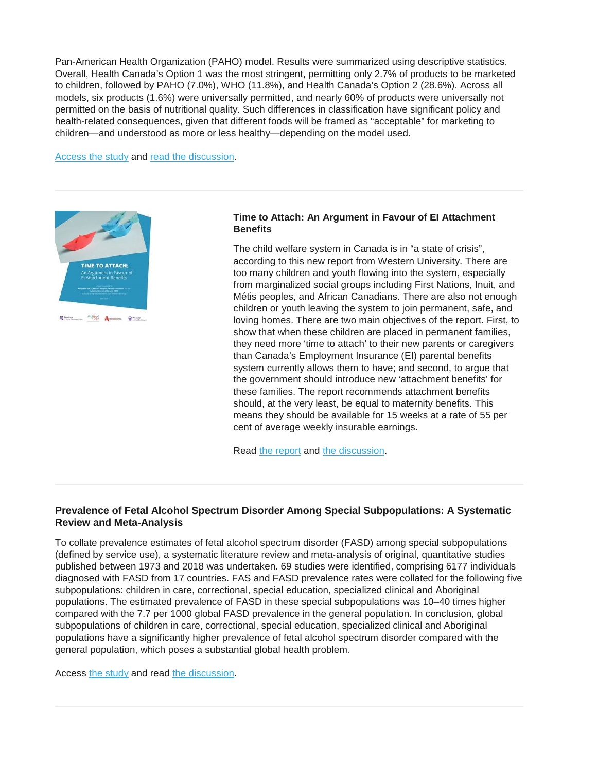Pan-American Health Organization (PAHO) model. Results were summarized using descriptive statistics. Overall, Health Canada's Option 1 was the most stringent, permitting only 2.7% of products to be marketed to children, followed by PAHO (7.0%), WHO (11.8%), and Health Canada's Option 2 (28.6%). Across all models, six products (1.6%) were universally permitted, and nearly 60% of products were universally not permitted on the basis of nutritional quality. Such differences in classification have significant policy and health-related consequences, given that different foods will be framed as "acceptable" for marketing to children—and understood as more or less healthy—depending on the model used.

[Access the study](https://www.mdpi.com/1660-4601/16/4/639) and [read the discussion.](https://www.ucalgary.ca/utoday/issue/2019-04-15/majority-supermarket-foods-targeted-canadian-kids-arent-healthy-ucalgary-research)



## **Time to Attach: An Argument in Favour of EI Attachment Benefits**

The child welfare system in Canada is in "a state of crisis", according to this new report from Western University. There are too many children and youth flowing into the system, especially from marginalized social groups including First Nations, Inuit, and Métis peoples, and African Canadians. There are also not enough children or youth leaving the system to join permanent, safe, and loving homes. There are two main objectives of the report. First, to show that when these children are placed in permanent families, they need more 'time to attach' to their new parents or caregivers than Canada's Employment Insurance (EI) parental benefits system currently allows them to have; and second, to argue that the government should introduce new 'attachment benefits' for these families. The report recommends attachment benefits should, at the very least, be equal to maternity benefits. This means they should be available for 15 weeks at a rate of 55 per cent of average weekly insurable earnings.

Read [the report](https://static1.squarespace.com/static/5ab0013d2714e5098e6d300e/t/5cd9c14053450aaacdfed68a/1557774681590/TTA+High+Res.pdf) and [the discussion.](https://mediarelations.uwo.ca/2019/05/15/new-western-led-study-explains-why-adoptive-parents-need-more-time-to-attach/)

## **Prevalence of Fetal Alcohol Spectrum Disorder Among Special Subpopulations: A Systematic Review and Meta**‐**Analysis**

To collate prevalence estimates of fetal alcohol spectrum disorder (FASD) among special subpopulations (defined by service use), a systematic literature review and meta‐analysis of original, quantitative studies published between 1973 and 2018 was undertaken. 69 studies were identified, comprising 6177 individuals diagnosed with FASD from 17 countries. FAS and FASD prevalence rates were collated for the following five subpopulations: children in care, correctional, special education, specialized clinical and Aboriginal populations. The estimated prevalence of FASD in these special subpopulations was 10–40 times higher compared with the 7.7 per 1000 global FASD prevalence in the general population. In conclusion, global subpopulations of children in care, correctional, special education, specialized clinical and Aboriginal populations have a significantly higher prevalence of fetal alcohol spectrum disorder compared with the general population, which poses a substantial global health problem.

Access [the study](https://onlinelibrary.wiley.com/doi/10.1111/add.14598) and read [the discussion.](http://www.ilrtoday.ca/fetal-alcohol-spectrum-disorder-prevalence-up-to-40-times-higher-in-some-subpopulations-worldwide/)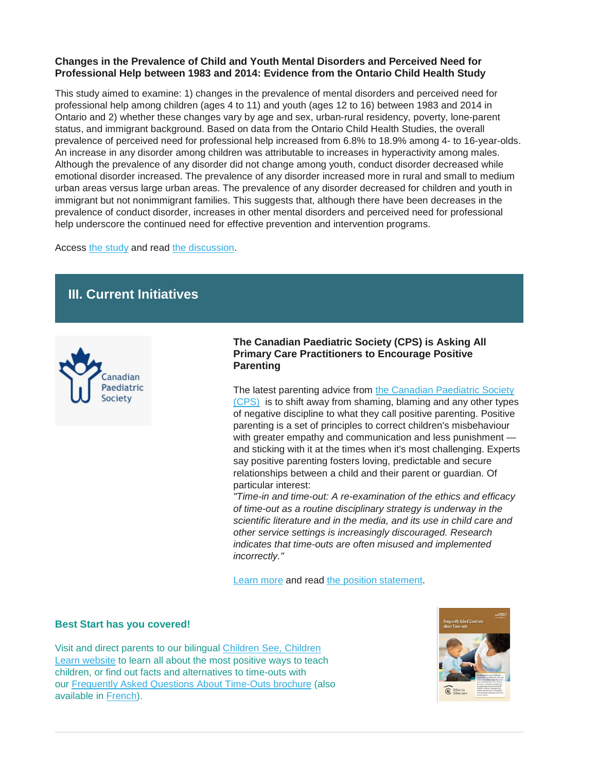## **Changes in the Prevalence of Child and Youth Mental Disorders and Perceived Need for Professional Help between 1983 and 2014: Evidence from the Ontario Child Health Study**

This study aimed to examine: 1) changes in the prevalence of mental disorders and perceived need for professional help among children (ages 4 to 11) and youth (ages 12 to 16) between 1983 and 2014 in Ontario and 2) whether these changes vary by age and sex, urban-rural residency, poverty, lone-parent status, and immigrant background. Based on data from the Ontario Child Health Studies, the overall prevalence of perceived need for professional help increased from 6.8% to 18.9% among 4- to 16-year-olds. An increase in any disorder among children was attributable to increases in hyperactivity among males. Although the prevalence of any disorder did not change among youth, conduct disorder decreased while emotional disorder increased. The prevalence of any disorder increased more in rural and small to medium urban areas versus large urban areas. The prevalence of any disorder decreased for children and youth in immigrant but not nonimmigrant families. This suggests that, although there have been decreases in the prevalence of conduct disorder, increases in other mental disorders and perceived need for professional help underscore the continued need for effective prevention and intervention programs.

Access [the study](https://www.ncbi.nlm.nih.gov/pubmed/30978139) and read [the discussion.](https://www.cbc.ca/news/canada/hamilton/study-finds-one-in-five-ontario-children-have-mental-health-problems-same-as-30-years-ago-1.5103478)

# **III. Current Initiatives**



**The Canadian Paediatric Society (CPS) is Asking All Primary Care Practitioners to Encourage Positive Parenting**

The latest parenting advice from [the Canadian Paediatric Society](https://www.cps.ca/)  [\(CPS\)](https://www.cps.ca/) is to shift away from shaming, blaming and any other types of negative discipline to what they call positive parenting. Positive parenting is a set of principles to correct children's misbehaviour with greater empathy and communication and less punishment and sticking with it at the times when it's most challenging. Experts say positive parenting fosters loving, predictable and secure relationships between a child and their parent or guardian. Of particular interest:

*"Time-in and time-out: A re-examination of the ethics and efficacy of time-out as a routine disciplinary strategy is underway in the scientific literature and in the media, and its use in child care and other service settings is increasingly discouraged. Research indicates that time-outs are often misused and implemented incorrectly."*

[Learn more](https://www.cbc.ca/news/health/positive-parenting-canadian-paediatric-society-1.5094166) and read [the position statement.](https://www.cps.ca/en/documents/position/positive-parenting)

## **Best Start has you covered!**

Visit and direct parents to our bilingual [Children See, Children](https://resources.beststart.org/product/k56b-children-see-children-learn-website/)  [Learn website](https://resources.beststart.org/product/k56b-children-see-children-learn-website/) to learn all about the most positive ways to teach children, or find out facts and alternatives to time-outs with our [Frequently Asked Questions About Time-Outs brochure](https://resources.beststart.org/product/k70e-frequently-asked-question-about-time-outs-booklet/) (also available in [French\)](https://resources.beststart.org/product/k70f-foire-aux-questions-le-retrait-livret-en/).

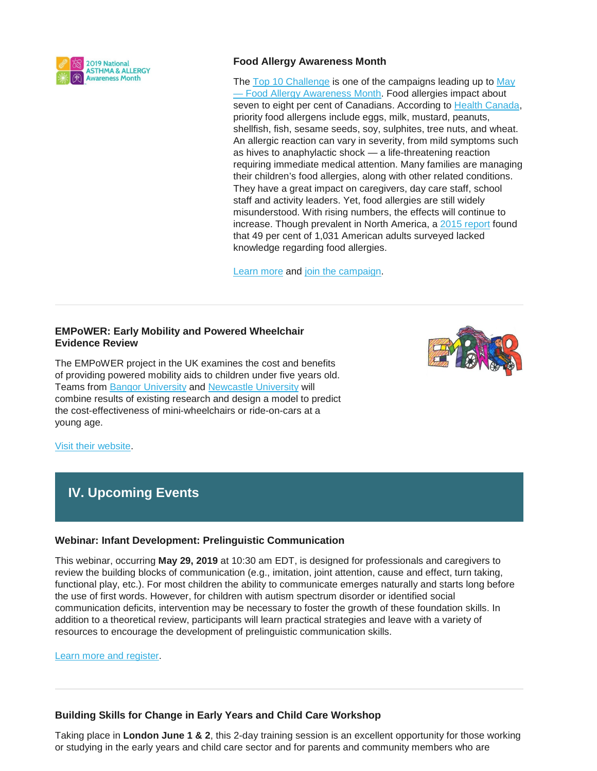

## **Food Allergy Awareness Month**

The [Top 10 Challenge](https://allergy-bites.com/top-10-challenge/) is one of the campaigns leading up to May — [Food Allergy Awareness Month.](https://www.kidswithfoodallergies.org/page/food-allergy-awareness-week-month.aspx) Food allergies impact about seven to eight per cent of Canadians. According to [Health Canada,](https://www.canada.ca/en/health-canada/services/food-nutrition/food-safety/food-allergies-intolerances/food-allergies.html) priority food allergens include eggs, milk, mustard, peanuts, shellfish, fish, sesame seeds, soy, sulphites, tree nuts, and wheat. An allergic reaction can vary in severity, from mild symptoms such as hives to anaphylactic shock — a life-threatening reaction requiring immediate medical attention. Many families are managing their children's food allergies, along with other related conditions. They have a great impact on caregivers, day care staff, school staff and activity leaders. Yet, food allergies are still widely misunderstood. With rising numbers, the effects will continue to increase. Though prevalent in North America, a [2015 report](https://acaai.org/news/half-americans-lack-knowledge-about-food-allergies-survey-finds) found that 49 per cent of 1,031 American adults surveyed lacked knowledge regarding food allergies.

[Learn more](https://thevarsity.ca/2019/04/28/taking-a-bite-into-food-allergies/) and [join the campaign.](https://www.kidswithfoodallergies.org/page/food-allergy-awareness-week-month.aspx)

## **EMPoWER: Early Mobility and Powered Wheelchair Evidence Review**

The EMPoWER project in the UK examines the cost and benefits of providing powered mobility aids to children under five years old. Teams from [Bangor University](http://r20.rs6.net/tn.jsp?f=001meGzRXi_Qmk9pIgpADBWBhT2m7Ee7ooeUvjcmCBNLyZeUDcv8bfrFHXD3QSAp50VTKmx-feUqWDk9T-CTQG_whc1Nk7wOEJLbK7A6ncUTZHBrhAMfH_Zk3zVehZO9EuMEnT78Ja4KIPYajti77ei_OijyNBHCNeVI7eRFw6mS23783UtWZDMqgZsEfj4P0Ud&c=YX39I9tY3ZTTIcOI7lr2cXIzW3eU7dM95rBF92Jy-mmIcpFQwZvxfg==&ch=R5sH-fma1fiPtNBevXPpCbG2QXBCR91Nz3DfbSyIZP1I84o8w3MbJA==) and [Newcastle University](http://r20.rs6.net/tn.jsp?f=001meGzRXi_Qmk9pIgpADBWBhT2m7Ee7ooeUvjcmCBNLyZeUDcv8bfrFHXD3QSAp50V7oDATPjX1Nl_fXVKe1hOILDGSIqxe48rMABS6ye9Yi3Z1ZWIc8gMEgLCHNZT5EjsEcjV09XnbRGR6_65yx6vBYKgY-dUEkc39OCe2_KUNGI=&c=YX39I9tY3ZTTIcOI7lr2cXIzW3eU7dM95rBF92Jy-mmIcpFQwZvxfg==&ch=R5sH-fma1fiPtNBevXPpCbG2QXBCR91Nz3DfbSyIZP1I84o8w3MbJA==) will combine results of existing research and design a model to predict the cost-effectiveness of mini-wheelchairs or ride-on-cars at a young age.



[Visit their website.](http://empower.bangor.ac.uk/)

# **IV. Upcoming Events**

## **Webinar: Infant Development: Prelinguistic Communication**

This webinar, occurring **May 29, 2019** at 10:30 am EDT, is designed for professionals and caregivers to review the building blocks of communication (e.g., imitation, joint attention, cause and effect, turn taking, functional play, etc.). For most children the ability to communicate emerges naturally and starts long before the use of first words. However, for children with autism spectrum disorder or identified social communication deficits, intervention may be necessary to foster the growth of these foundation skills. In addition to a theoretical review, participants will learn practical strategies and leave with a variety of resources to encourage the development of prelinguistic communication skills.

[Learn more and register.](http://events.r20.constantcontact.com/register/event?oeidk=a07efspwsnhd7ebf704&llr=54n6segab)

## **Building Skills for Change in Early Years and Child Care Workshop**

Taking place in **London June 1 & 2**, this 2-day training session is an excellent opportunity for those working or studying in the early years and child care sector and for parents and community members who are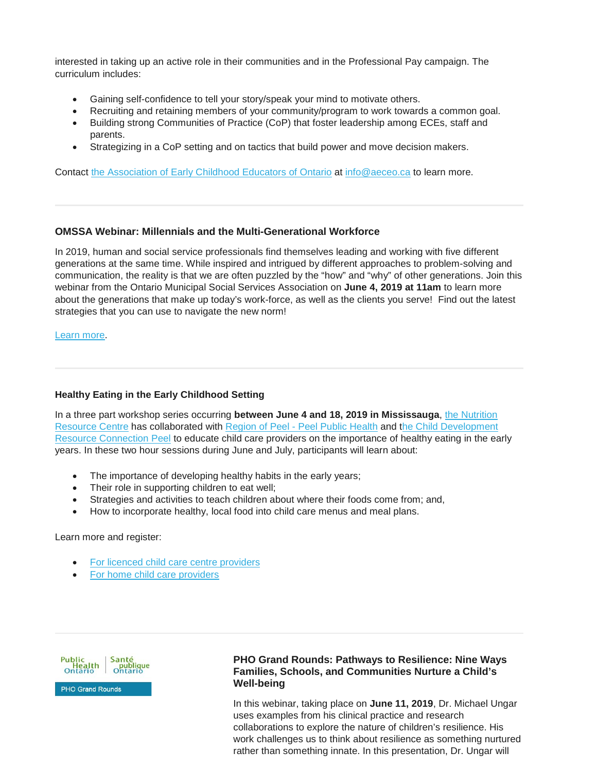interested in taking up an active role in their communities and in the Professional Pay campaign. The curriculum includes:

- Gaining self-confidence to tell your story/speak your mind to motivate others.
- Recruiting and retaining members of your community/program to work towards a common goal.
- Building strong Communities of Practice (CoP) that foster leadership among ECEs, staff and parents.
- Strategizing in a CoP setting and on tactics that build power and move decision makers.

Contact [the Association of Early Childhood Educators of Ontario](https://www.aeceo.ca/contact_us) at [info@aeceo.ca](mailto:info@aeceo.ca) to learn more.

## **OMSSA Webinar: Millennials and the Multi-Generational Workforce**

In 2019, human and social service professionals find themselves leading and working with five different generations at the same time. While inspired and intrigued by different approaches to problem-solving and communication, the reality is that we are often puzzled by the "how" and "why" of other generations. Join this webinar from the Ontario Municipal Social Services Association on **June 4, 2019 at 11am** to learn more about the generations that make up today's work-force, as well as the clients you serve! Find out the latest strategies that you can use to navigate the new norm!

[Learn more.](https://omssa.com/webinar-millennial-workforce.php)

## **Healthy Eating in the Early Childhood Setting**

In a three part workshop series occurring **between June 4 and 18, 2019 in Mississauga**, [the Nutrition](https://opha.on.ca/What-We-Do/Programs/Nutrition-Resource-Centre.aspx)  [Resource Centre](https://opha.on.ca/What-We-Do/Programs/Nutrition-Resource-Centre.aspx) has collaborated with Region of Peel - [Peel Public Health](https://www.peelregion.ca/health/) and [the Child Development](https://cdrcp.com/)  [Resource Connection Peel](https://cdrcp.com/) to educate child care providers on the importance of healthy eating in the early years. In these two hour sessions during June and July, participants will learn about:

- The importance of developing healthy habits in the early years;
- Their role in supporting children to eat well;
- Strategies and activities to teach children about where their foods come from; and,
- How to incorporate healthy, local food into child care menus and meal plans.

Learn more and register:

- [For licenced child care centre providers](https://opha.us3.list-manage.com/track/click?u=523bec72fbd3002744594cd6a&id=ae8c775660&e=784d9e4e9f)
- [For home child care providers](https://opha.us3.list-manage.com/track/click?u=523bec72fbd3002744594cd6a&id=bd169db0a9&e=784d9e4e9f)



## **PHO Grand Rounds: Pathways to Resilience: Nine Ways Families, Schools, and Communities Nurture a Child's Well-being**

In this webinar, taking place on **June 11, 2019**, Dr. Michael Ungar uses examples from his clinical practice and research collaborations to explore the nature of children's resilience. His work challenges us to think about resilience as something nurtured rather than something innate. In this presentation, Dr. Ungar will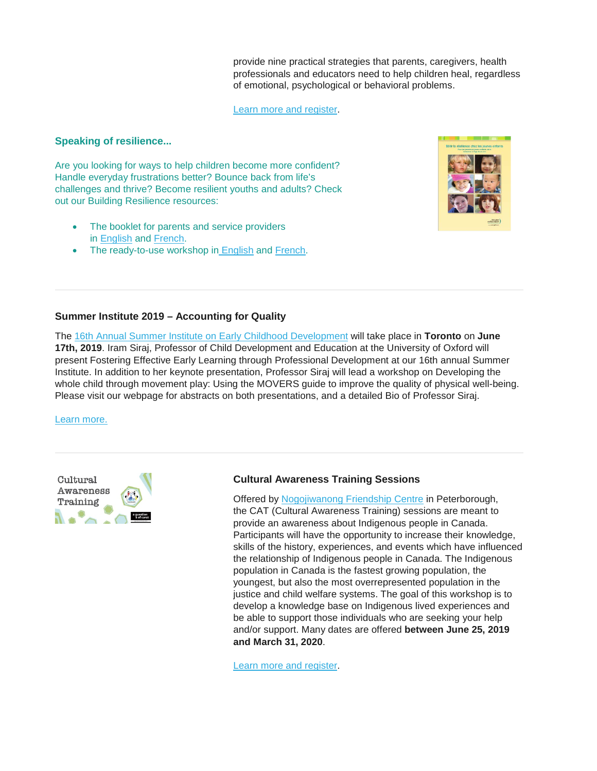provide nine practical strategies that parents, caregivers, health professionals and educators need to help children heal, regardless of emotional, psychological or behavioral problems.

[Learn more and register.](https://www.eventbrite.ca/e/pho-grand-rounds-pathways-to-resilience-nine-ways-families-schools-and-communities-nurture-a-childs-tickets-61440998681?recipientid=contact-51e87f1fb2c2e41191f10050569e0009-eabe9808beaf4d0e8324ab444fecb954&_cldee=bC5jaG9xdWV0dGVAaGVhbHRobmV4dXMuY2E%3D&esid=39c74303-2b70-e911-84df-0050569e0009)

## **Speaking of resilience...**

Are you looking for ways to help children become more confident? Handle everyday frustrations better? Bounce back from life's challenges and thrive? Become resilient youths and adults? Check out our Building Resilience resources:

- The booklet for parents and service providers in [English](https://resources.beststart.org/product/k35e-building-resilience-booklet-parents/) and [French.](https://resources.beststart.org/product/k35e-building-resilience-booklet-parents-en/)
- The ready-to-use workshop in [English](https://resources.beststart.org/product/k50e-building-resilience-in-young-children-workshop/) and [French.](https://resources.beststart.org/product/k50f-batir-resilience-jeunes-enfants-atelier-en/)



## **Summer Institute 2019 – Accounting for Quality**

The [16th Annual Summer Institute on Early Childhood Development](https://www.oise.utoronto.ca/atkinson/Events/2019_Events/Summer_Institute_2019_-_Keynote_Iram_Siraj.html) will take place in **Toronto** on **June 17th, 2019**. Iram Siraj, Professor of Child Development and Education at the University of Oxford will present Fostering Effective Early Learning through Professional Development at our 16th annual Summer Institute. In addition to her keynote presentation, Professor Siraj will lead a workshop on Developing the whole child through movement play: Using the MOVERS guide to improve the quality of physical well-being. Please visit our webpage for abstracts on both presentations, and a detailed Bio of Professor Siraj.

[Learn more.](https://www.oise.utoronto.ca/atkinson/Events/2019_Events/Summer_Institute_2019_-_Keynote_Iram_Siraj.html)



## **Cultural Awareness Training Sessions**

Offered by [Nogojiwanong Friendship Centre](https://www.nogofc.ca/) in Peterborough, the CAT (Cultural Awareness Training) sessions are meant to provide an awareness about Indigenous people in Canada. Participants will have the opportunity to increase their knowledge, skills of the history, experiences, and events which have influenced the relationship of Indigenous people in Canada. The Indigenous population in Canada is the fastest growing population, the youngest, but also the most overrepresented population in the justice and child welfare systems. The goal of this workshop is to develop a knowledge base on Indigenous lived experiences and be able to support those individuals who are seeking your help and/or support. Many dates are offered **between June 25, 2019 and March 31, 2020**.

[Learn more and register.](https://www.eventbrite.ca/e/cultural-awareness-training-tickets-59948914818)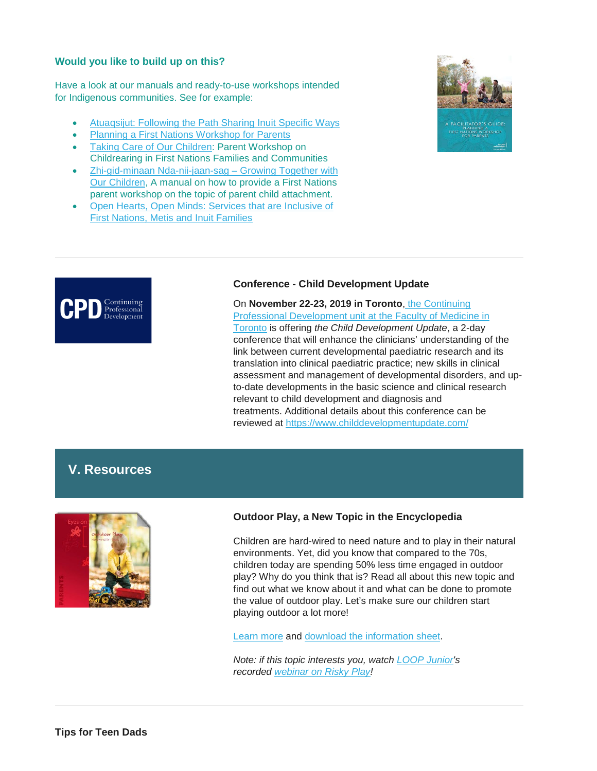## **Would you like to build up on this?**

Have a look at our manuals and ready-to-use workshops intended for Indigenous communities. See for example:

- [Atuaqsijut: Following the Path Sharing Inuit Specific Ways](https://resources.beststart.org/product/k84a-atuaqsijut-inuit-manual/)
- [Planning a First Nations Workshop for Parents](https://resources.beststart.org/product/k66a-planning-a-first-nations-workshop-for-parents-guide/)
- [Taking Care of Our Children:](https://resources.beststart.org/product/k67a-taking-care-of-our-children-childrearing-first-nations-workshop/) Parent Workshop on Childrearing in First Nations Families and Communities
- [Zhi-gid-minaan Nda-nii-jaan-sag –](https://resources.beststart.org/product/k47a-growing-together-with-our-children-guide/) Growing Together with [Our Children,](https://resources.beststart.org/product/k47a-growing-together-with-our-children-guide/) A manual on how to provide a First Nations parent workshop on the topic of parent child attachment.
- [Open Hearts, Open Minds: Services that are Inclusive of](https://resources.beststart.org/product/j15e-services-inclusive-first-nations-metis-inuit-families-report/)  [First Nations, Metis and Inuit Families](https://resources.beststart.org/product/j15e-services-inclusive-first-nations-metis-inuit-families-report/)





## **Conference - Child Development Update**

On **November 22-23, 2019 in Toronto**, [the Continuing](https://www.cpd.utoronto.ca/)  [Professional Development unit at the Faculty of Medicine in](https://www.cpd.utoronto.ca/)  [Toronto](https://www.cpd.utoronto.ca/) is offering *the Child Development Update*, a 2-day conference that will enhance the clinicians' understanding of the link between current developmental paediatric research and its translation into clinical paediatric practice; new skills in clinical assessment and management of developmental disorders, and upto-date developments in the basic science and clinical research relevant to child development and diagnosis and treatments. Additional details about this conference can be reviewed at <https://www.childdevelopmentupdate.com/>

# **V. Resources**



## **Outdoor Play, a New Topic in the Encyclopedia**

Children are hard-wired to need nature and to play in their natural environments. Yet, did you know that compared to the 70s, children today are spending 50% less time engaged in outdoor play? Why do you think that is? Read all about this new topic and find out what we know about it and what can be done to promote the value of outdoor play. Let's make sure our children start playing outdoor a lot more!

[Learn more](http://suivi.lnk01.com/c/443/14bcb19e2352beabec1002dc4f79e584dcca943318ec6c15aeb25b06b29c7dca) and [download the information sheet.](http://suivi.lnk01.com/c/443/14bcb19e2352beabec1002dc4f79e584dcca943318ec6c152c3680b69c22f6a5)

*Note: if this topic interests you, watch [LOOP Junior's](https://fallsloop.us14.list-manage.com/track/click?u=2c6611109dd93b6c70f4aee89&id=32182248c8&e=2dac09a144) recorded [webinar on Risky Play!](https://fallsloop.us14.list-manage.com/track/click?u=2c6611109dd93b6c70f4aee89&id=a22eeab25b&e=2dac09a144)*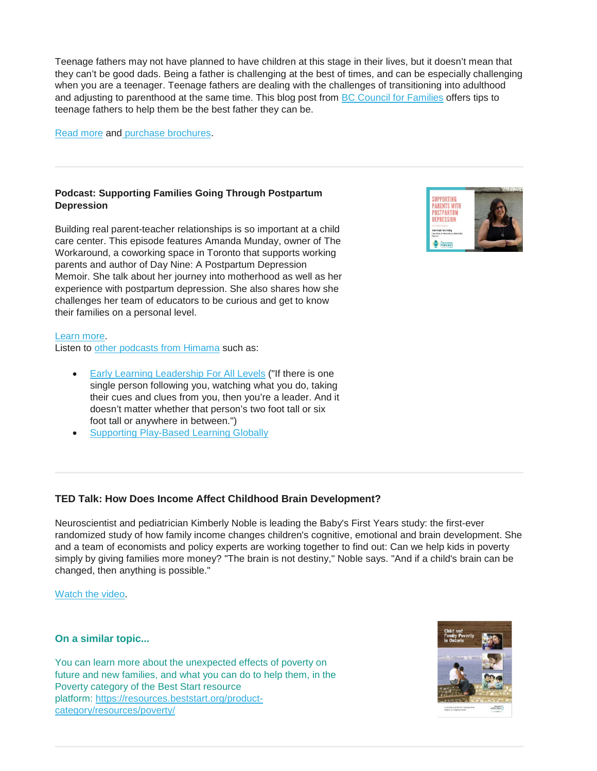Teenage fathers may not have planned to have children at this stage in their lives, but it doesn't mean that they can't be good dads. Being a father is challenging at the best of times, and can be especially challenging when you are a teenager. Teenage fathers are dealing with the challenges of transitioning into adulthood and adjusting to parenthood at the same time. This blog post from [BC Council for Families](https://www.bccf.ca/) offers tips to teenage fathers to help them be the best father they can be.

[Read more](https://www.bccf.ca/bccf/blog/tips-for-teen-dads/) and [purchase brochures.](https://shop.bccf.ca/catalogue/teen-dads-your-baby-needs-you_364/)

## **Podcast: Supporting Families Going Through Postpartum Depression**

Building real parent-teacher relationships is so important at a child care center. This episode features Amanda Munday, owner of The Workaround, a coworking space in Toronto that supports working parents and author of Day Nine: A Postpartum Depression Memoir. She talk about her journey into motherhood as well as her experience with postpartum depression. She also shares how she challenges her team of educators to be curious and get to know their families on a personal level.

## [Learn more.](https://go2.himama.com/dL0XA0VSnD0HH00Z4m000Q0)

Listen to [other podcasts from Himama](https://www.himama.com/the-preschool-podcast) such as:

- **[Early Learning Leadership For All Levels](https://blog.himama.com/preschool-podcast-lori-buxton/?utm_source=newsletter&utm_medium=email&utm_campaign=newsletter_04302019&mkt_tok=eyJpIjoiTWpCa01qVmhNR0V3WkRFeCIsInQiOiJCaThWRTZLZURibDFUTmlib205OEdoMUtycVlYV2hrZlwvWHhTU1UyMGRRdzZoZzJ6K3JON2ZFS0FMeWlSUTA3cnN3VGVnRE5KUCtIbFhMZXUwdVMxUEc2allHSmxZZVV5TVwvN0NXSUJnNWVtTTJkTVdGRXM5b3dBNERxK050RzJtIn0%3D) ("If there is one** single person following you, watching what you do, taking their cues and clues from you, then you're a leader. And it doesn't matter whether that person's two foot tall or six foot tall or anywhere in between.")
- [Supporting Play-Based Learning Globally](https://go2.himama.com/Y0L4q0bSA00DH000XZQ0HH0)

# **TED Talk: How Does Income Affect Childhood Brain Development?**

Neuroscientist and pediatrician Kimberly Noble is leading the Baby's First Years study: the first-ever randomized study of how family income changes children's cognitive, emotional and brain development. She and a team of economists and policy experts are working together to find out: Can we help kids in poverty simply by giving families more money? "The brain is not destiny," Noble says. "And if a child's brain can be changed, then anything is possible."

[Watch the video.](https://www.ted.com/talks/kimberly_noble_how_does_income_affect_childhood_brain_development?utm_source=newsletter_daily&utm_campaign=daily&utm_medium=email&utm_content=button__2019-04-02)

## **On a similar topic...**

You can learn more about the unexpected effects of poverty on future and new families, and what you can do to help them, in the Poverty category of the Best Start resource platform: [https://resources.beststart.org/product](https://resources.beststart.org/product-category/resources/poverty/)[category/resources/poverty/](https://resources.beststart.org/product-category/resources/poverty/)



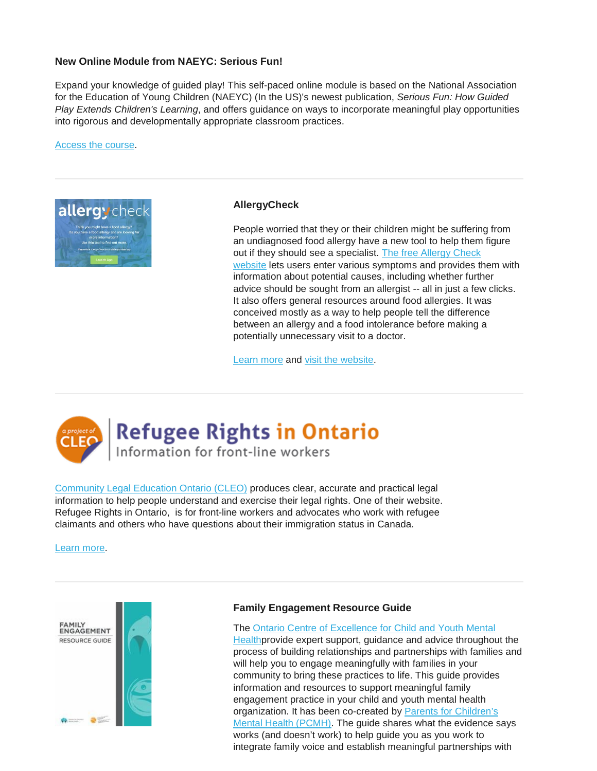## **New Online Module from NAEYC: Serious Fun!**

Expand your knowledge of guided play! This self-paced online module is based on the National Association for the Education of Young Children (NAEYC) (In the US)'s newest publication, *Serious Fun: How Guided Play Extends Children's Learning*, and offers guidance on ways to incorporate meaningful play opportunities into rigorous and developmentally appropriate classroom practices.

[Access the course.](https://www.naeyc.org/resources/pd/online-learning/serious-fun)



## **AllergyCheck**

People worried that they or their children might be suffering from an undiagnosed food allergy have a new tool to help them figure out if they should see a specialist. [The free Allergy Check](https://allergycheck.ca/#/Home)  [website](https://allergycheck.ca/#/Home) lets users enter various symptoms and provides them with information about potential causes, including whether further advice should be sought from an allergist -- all in just a few clicks. It also offers general resources around food allergies. It was conceived mostly as a way to help people tell the difference between an allergy and a food intolerance before making a potentially unnecessary visit to a doctor.

[Learn more](https://www.ctvnews.ca/health/new-online-tool-helps-shine-light-on-food-allergy-concerns-1.4402991) and [visit the website.](https://allergycheck.ca/#/Home)



# **Refugee Rights in Ontario** Information for front-line workers

[Community Legal Education Ontario \(CLEO\)](https://www.cleo.on.ca/en) produces clear, accurate and practical legal information to help people understand and exercise their legal rights. One of their website. Refugee Rights in Ontario, is for front-line workers and advocates who work with refugee claimants and others who have questions about their immigration status in Canada.

[Learn more.](https://refugee.cleo.on.ca/en/refugee-rights-ontario)



## **Family Engagement Resource Guide**

The [Ontario Centre of Excellence for Child and Youth Mental](http://www.excellenceforchildandyouth.ca/)  [Healthp](http://www.excellenceforchildandyouth.ca/)rovide expert support, guidance and advice throughout the process of building relationships and partnerships with families and will help you to engage meaningfully with families in your community to bring these practices to life. This guide provides information and resources to support meaningful family engagement practice in your child and youth mental health organization. It has been co-created by [Parents for Children's](http://www.pcmh.ca/)  [Mental Health \(PCMH\).](http://www.pcmh.ca/) The guide shares what the evidence says works (and doesn't work) to help guide you as you work to integrate family voice and establish meaningful partnerships with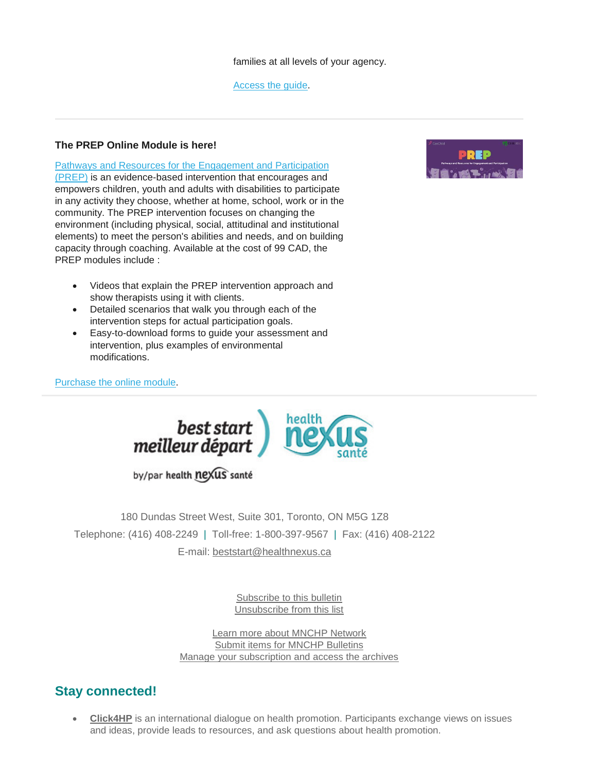families at all levels of your agency.

[Access the guide.](http://www.excellenceforchildandyouth.ca/resource-hub/family-engagement-resource-guide)

# **The PREP Online Module is here!**

[Pathways and Resources for the Engagement and Participation](http://r20.rs6.net/tn.jsp?f=001meGzRXi_Qmk9pIgpADBWBhT2m7Ee7ooeUvjcmCBNLyZeUDcv8bfrFHXD3QSAp50VaxCJuZRYFxxRQqfBFXysOR3FE1WdA-XLEdigMX_0-OszFVPmrQeBUEmgVfplzbBJ5rNkL_sLKcHIPTsFry7tstgfUOq6Lru2BYPcxV0Im08=&c=YX39I9tY3ZTTIcOI7lr2cXIzW3eU7dM95rBF92Jy-mmIcpFQwZvxfg==&ch=R5sH-fma1fiPtNBevXPpCbG2QXBCR91Nz3DfbSyIZP1I84o8w3MbJA==)  [\(PREP\)](http://r20.rs6.net/tn.jsp?f=001meGzRXi_Qmk9pIgpADBWBhT2m7Ee7ooeUvjcmCBNLyZeUDcv8bfrFHXD3QSAp50VaxCJuZRYFxxRQqfBFXysOR3FE1WdA-XLEdigMX_0-OszFVPmrQeBUEmgVfplzbBJ5rNkL_sLKcHIPTsFry7tstgfUOq6Lru2BYPcxV0Im08=&c=YX39I9tY3ZTTIcOI7lr2cXIzW3eU7dM95rBF92Jy-mmIcpFQwZvxfg==&ch=R5sH-fma1fiPtNBevXPpCbG2QXBCR91Nz3DfbSyIZP1I84o8w3MbJA==) is an evidence-based intervention that encourages and empowers children, youth and adults with disabilities to participate in any activity they choose, whether at home, school, work or in the community. The PREP intervention focuses on changing the environment (including physical, social, attitudinal and institutional elements) to meet the person's abilities and needs, and on building capacity through coaching. Available at the cost of 99 CAD, the PREP modules include :

- Videos that explain the PREP intervention approach and show therapists using it with clients.
- Detailed scenarios that walk you through each of the intervention steps for actual participation goals.
- Easy-to-download forms to guide your assessment and intervention, plus examples of environmental modifications.

# [Purchase the online module.](http://r20.rs6.net/tn.jsp?f=001meGzRXi_Qmk9pIgpADBWBhT2m7Ee7ooeUvjcmCBNLyZeUDcv8bfrFPTLkXyKkSzIpx1x0fSIyH90lfFkwloeeRKW-MYYi3OfuIH85sm2A1s_8FnOxnf3Y4_UvOnEQl3428gVHcMPjW_nmKUH2oNODpABPfKrQk4G7RHh_eZjIVrcwWsLICkvt3f9jHu2AG19sHGmi6bcz7k=&c=YX39I9tY3ZTTIcOI7lr2cXIzW3eU7dM95rBF92Jy-mmIcpFQwZvxfg==&ch=R5sH-fma1fiPtNBevXPpCbG2QXBCR91Nz3DfbSyIZP1I84o8w3MbJA==)



by/par health nexus santé

180 Dundas Street West, Suite 301, Toronto, ON M5G 1Z8 Telephone: (416) 408-2249 | Toll-free: 1-800-397-9567 | Fax: (416) 408-2122 E-mail: [beststart@healthnexus.ca](mailto:beststart@healthnexus.ca?subject=Contact%20Us)

> [Subscribe to this bulletin](mailto:mnchp@healthnexus.ca?subject=Unsubscribe%20to%20MNCHP%20bulletin%20and%20network) [Unsubscribe from this list](mailto:mnchp@healthnexus.ca?subject=Unsubscribe%20to%20MNCHP%20bulletin%20and%20network)

[Learn more about MNCHP Network](http://lists.beststart.org/listinfo.cgi/mnchp-beststart.org) [Submit items for MNCHP Bulletins](mailto:mnchp@healthnexus.ca) [Manage your subscription and access the archives](http://lists.beststart.org/listinfo.cgi/mnchp-beststart.org)

# **Stay connected!**

• **[Click4HP](https://listserv.yorku.ca/archives/click4hp.html)** is an international dialogue on health promotion. Participants exchange views on issues and ideas, provide leads to resources, and ask questions about health promotion.